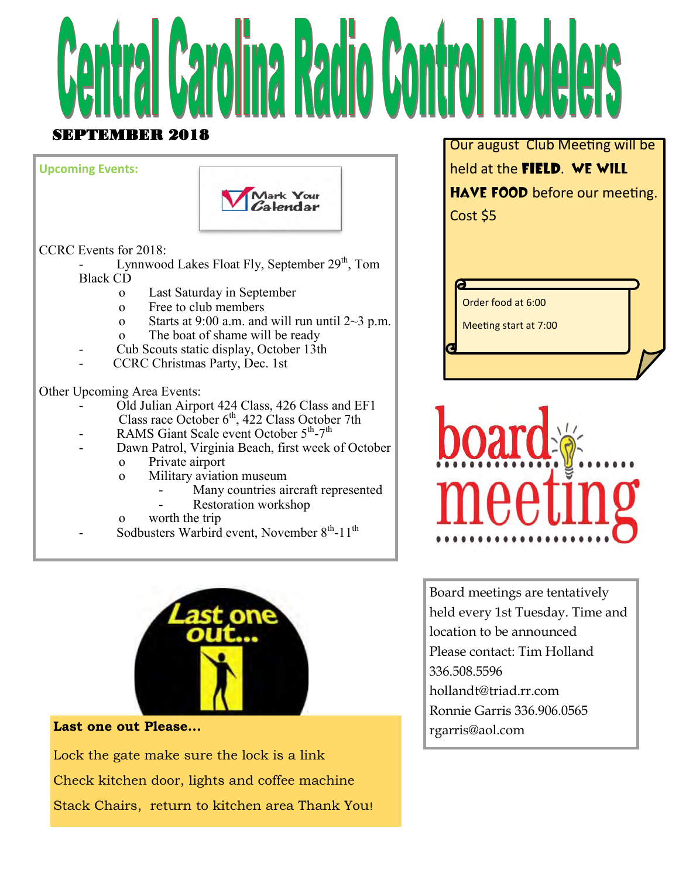

### SEPTEMBER 2018

#### **Upcoming Events:**



#### CCRC Events for 2018:

Lynnwood Lakes Float Fly, September  $29<sup>th</sup>$ , Tom Black CD

- o Last Saturday in September
- o Free to club members
- o Starts at 9:00 a.m. and will run until  $2~3$  p.m.
- o The boat of shame will be ready
- Cub Scouts static display, October 13th
- CCRC Christmas Party, Dec. 1st

#### Other Upcoming Area Events:

- Old Julian Airport 424 Class, 426 Class and EF1 Class race October  $6<sup>th</sup>$ , 422 Class October 7th
- RAMS Giant Scale event October 5<sup>th</sup>-7<sup>th</sup>
- Dawn Patrol, Virginia Beach, first week of October
	- o Private airport
	- o Military aviation museum
		- Many countries aircraft represented
		- Restoration workshop
	- o worth the trip
- Sodbusters Warbird event, November  $8<sup>th</sup>$ -11<sup>th</sup>



#### **Last one out Please...**

Lock the gate make sure the lock is a link Check kitchen door, lights and coffee machine Stack Chairs, return to kitchen area Thank You! Our august Club Meeting will be held at the **field**. We will HAVE FOOD before our meeting. Cost \$5

Order food at 6:00

Meeting start at 7:00



Board meetings are tentatively held every 1st Tuesday. Time and location to be announced Please contact: Tim Holland 336.508.5596 hollandt@triad.rr.com Ronnie Garris 336.906.0565 rgarris@aol.com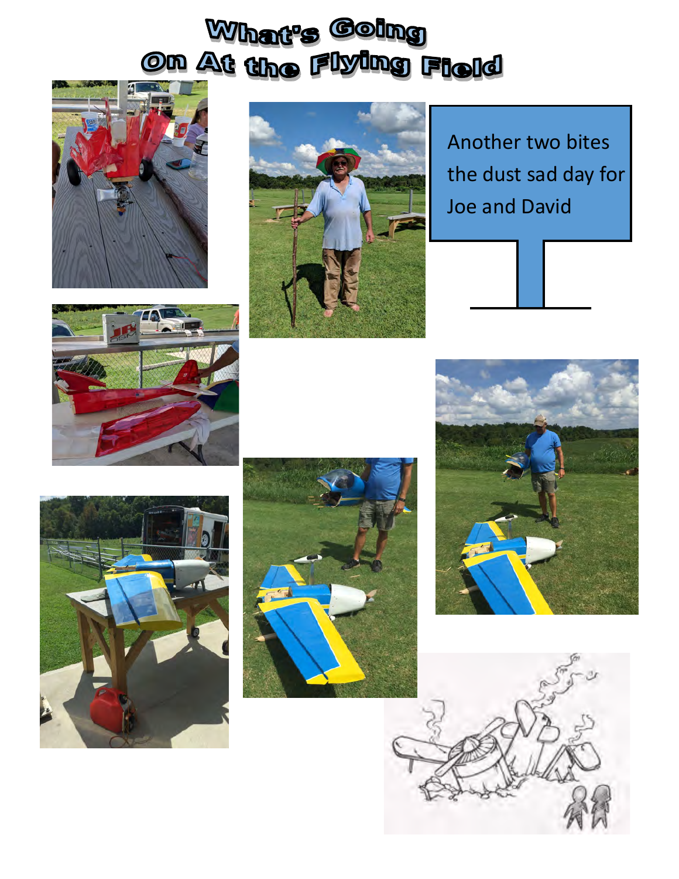# What's Going<br>On At the Flying Field





Another two bites the dust sad day for Joe and David









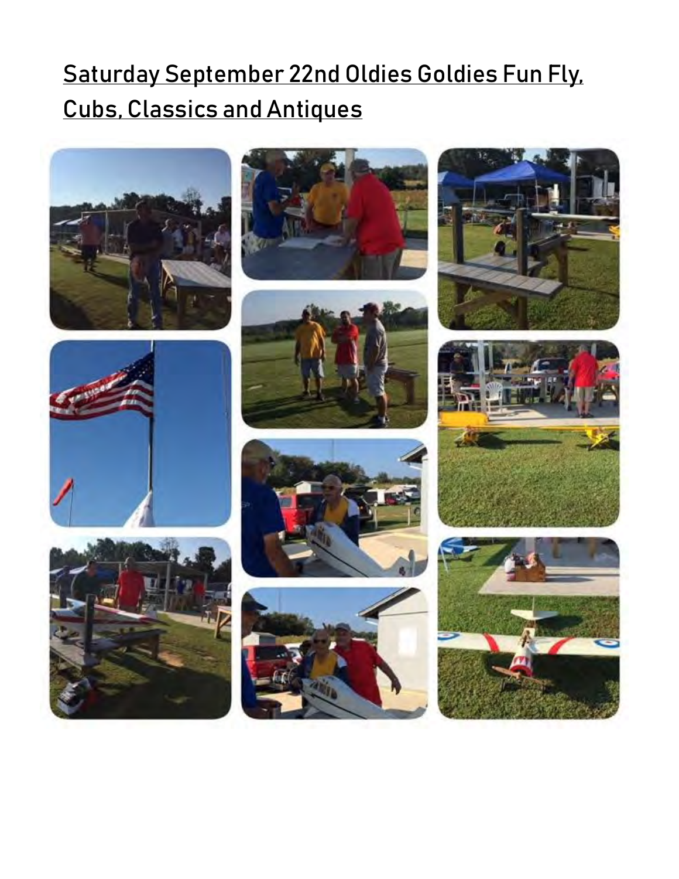## Saturday September 22nd Oldies Goldies Fun Fly, Cubs, Classics and Antiques